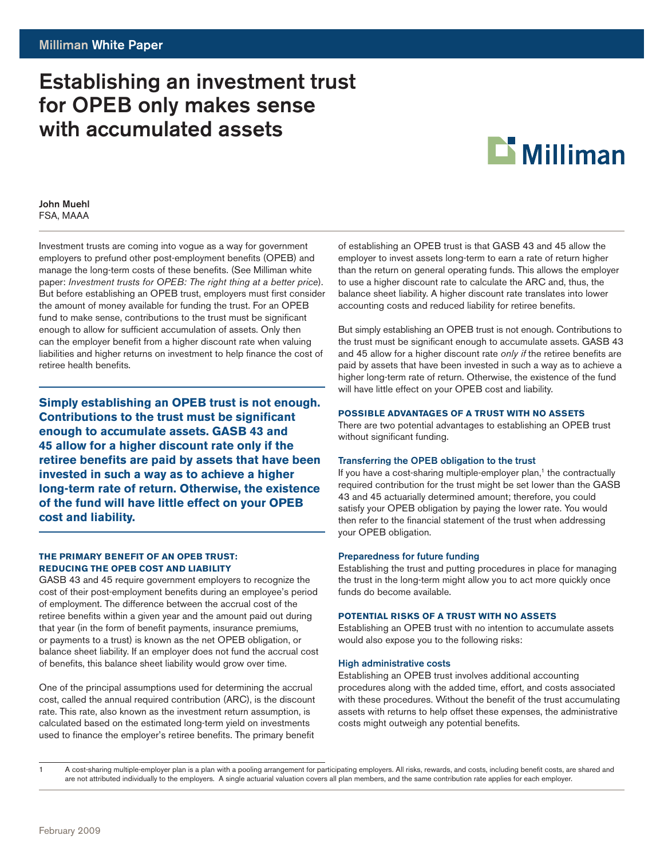# Establishing an investment trust for OPEB only makes sense with accumulated assets



# John Muehl FSA, MAAA

Investment trusts are coming into vogue as a way for government employers to prefund other post-employment benefits (OPEB) and manage the long-term costs of these benefits. (See Milliman white paper: *Investment trusts for OPEB: The right thing at a better price*). But before establishing an OPEB trust, employers must first consider the amount of money available for funding the trust. For an OPEB fund to make sense, contributions to the trust must be significant enough to allow for sufficient accumulation of assets. Only then can the employer benefit from a higher discount rate when valuing liabilities and higher returns on investment to help finance the cost of retiree health benefits.

**Simply establishing an OPEB trust is not enough. Contributions to the trust must be significant enough to accumulate assets. GASB 43 and 45 allow for a higher discount rate only if the retiree benefits are paid by assets that have been invested in such a way as to achieve a higher long-term rate of return. Otherwise, the existence of the fund will have little effect on your OPEB cost and liability.** 

# **The Primary Benefit of an OPEB Trust: Reducing the OPEB Cost and Liability**

GASB 43 and 45 require government employers to recognize the cost of their post-employment benefits during an employee's period of employment. The difference between the accrual cost of the retiree benefits within a given year and the amount paid out during that year (in the form of benefit payments, insurance premiums, or payments to a trust) is known as the net OPEB obligation, or balance sheet liability. If an employer does not fund the accrual cost of benefits, this balance sheet liability would grow over time.

One of the principal assumptions used for determining the accrual cost, called the annual required contribution (ARC), is the discount rate. This rate, also known as the investment return assumption, is calculated based on the estimated long-term yield on investments used to finance the employer's retiree benefits. The primary benefit of establishing an OPEB trust is that GASB 43 and 45 allow the employer to invest assets long-term to earn a rate of return higher than the return on general operating funds. This allows the employer to use a higher discount rate to calculate the ARC and, thus, the balance sheet liability. A higher discount rate translates into lower accounting costs and reduced liability for retiree benefits.

But simply establishing an OPEB trust is not enough. Contributions to the trust must be significant enough to accumulate assets. GASB 43 and 45 allow for a higher discount rate *only if* the retiree benefits are paid by assets that have been invested in such a way as to achieve a higher long-term rate of return. Otherwise, the existence of the fund will have little effect on your OPEB cost and liability.

# **Possible Advantages of a Trust with No Assets**

There are two potential advantages to establishing an OPEB trust without significant funding.

# Transferring the OPEB obligation to the trust

If you have a cost-sharing multiple-employer plan, $<sup>1</sup>$  the contractually</sup> required contribution for the trust might be set lower than the GASB 43 and 45 actuarially determined amount; therefore, you could satisfy your OPEB obligation by paying the lower rate. You would then refer to the financial statement of the trust when addressing your OPEB obligation.

# Preparedness for future funding

Establishing the trust and putting procedures in place for managing the trust in the long-term might allow you to act more quickly once funds do become available.

# **Potential Risks of a Trust with No Assets**

Establishing an OPEB trust with no intention to accumulate assets would also expose you to the following risks:

# High administrative costs

Establishing an OPEB trust involves additional accounting procedures along with the added time, effort, and costs associated with these procedures. Without the benefit of the trust accumulating assets with returns to help offset these expenses, the administrative costs might outweigh any potential benefits.

<sup>1</sup> A cost-sharing multiple-employer plan is a plan with a pooling arrangement for participating employers. All risks, rewards, and costs, including benefit costs, are shared and are not attributed individually to the employers. A single actuarial valuation covers all plan members, and the same contribution rate applies for each employer.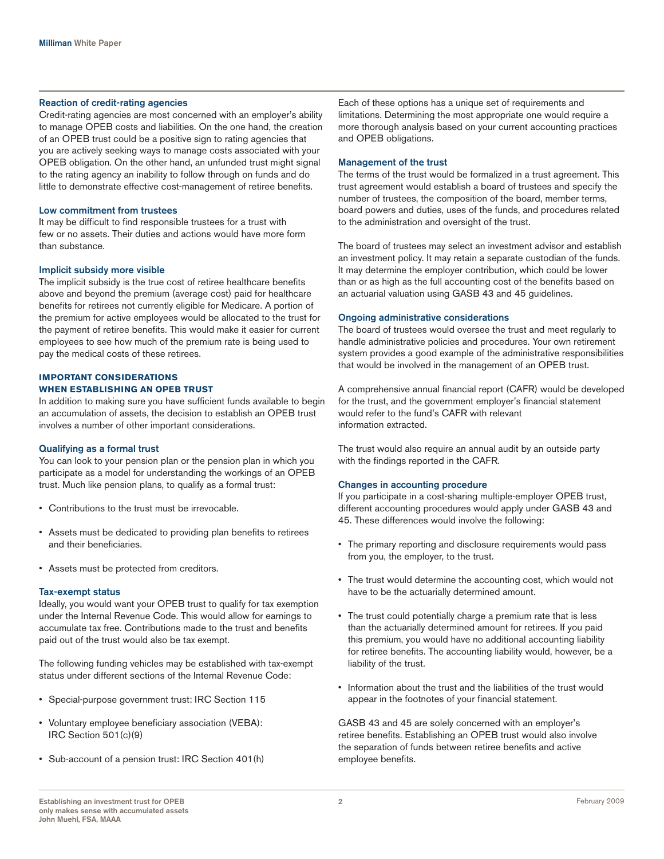#### Reaction of credit-rating agencies

Credit-rating agencies are most concerned with an employer's ability to manage OPEB costs and liabilities. On the one hand, the creation of an OPEB trust could be a positive sign to rating agencies that you are actively seeking ways to manage costs associated with your OPEB obligation. On the other hand, an unfunded trust might signal to the rating agency an inability to follow through on funds and do little to demonstrate effective cost-management of retiree benefits.

## Low commitment from trustees

It may be difficult to find responsible trustees for a trust with few or no assets. Their duties and actions would have more form than substance.

#### Implicit subsidy more visible

The implicit subsidy is the true cost of retiree healthcare benefits above and beyond the premium (average cost) paid for healthcare benefits for retirees not currently eligible for Medicare. A portion of the premium for active employees would be allocated to the trust for the payment of retiree benefits. This would make it easier for current employees to see how much of the premium rate is being used to pay the medical costs of these retirees.

# **Important Considerations when Establishing an OPEB Trust**

In addition to making sure you have sufficient funds available to begin an accumulation of assets, the decision to establish an OPEB trust involves a number of other important considerations.

#### Qualifying as a formal trust

You can look to your pension plan or the pension plan in which you participate as a model for understanding the workings of an OPEB trust. Much like pension plans, to qualify as a formal trust:

- • Contributions to the trust must be irrevocable.
- • Assets must be dedicated to providing plan benefits to retirees and their beneficiaries.
- • Assets must be protected from creditors.

#### Tax-exempt status

Ideally, you would want your OPEB trust to qualify for tax exemption under the Internal Revenue Code. This would allow for earnings to accumulate tax free. Contributions made to the trust and benefits paid out of the trust would also be tax exempt.

The following funding vehicles may be established with tax-exempt status under different sections of the Internal Revenue Code:

- • Special-purpose government trust: IRC Section 115
- • Voluntary employee beneficiary association (VEBA): IRC Section 501(c)(9)
- Sub-account of a pension trust: IRC Section 401(h)

Each of these options has a unique set of requirements and limitations. Determining the most appropriate one would require a more thorough analysis based on your current accounting practices and OPEB obligations.

#### Management of the trust

The terms of the trust would be formalized in a trust agreement. This trust agreement would establish a board of trustees and specify the number of trustees, the composition of the board, member terms, board powers and duties, uses of the funds, and procedures related to the administration and oversight of the trust.

The board of trustees may select an investment advisor and establish an investment policy. It may retain a separate custodian of the funds. It may determine the employer contribution, which could be lower than or as high as the full accounting cost of the benefits based on an actuarial valuation using GASB 43 and 45 guidelines.

#### Ongoing administrative considerations

The board of trustees would oversee the trust and meet regularly to handle administrative policies and procedures. Your own retirement system provides a good example of the administrative responsibilities that would be involved in the management of an OPEB trust.

A comprehensive annual financial report (CAFR) would be developed for the trust, and the government employer's financial statement would refer to the fund's CAFR with relevant information extracted.

The trust would also require an annual audit by an outside party with the findings reported in the CAFR.

# Changes in accounting procedure

If you participate in a cost-sharing multiple-employer OPEB trust, different accounting procedures would apply under GASB 43 and 45. These differences would involve the following:

- The primary reporting and disclosure requirements would pass from you, the employer, to the trust.
- The trust would determine the accounting cost, which would not have to be the actuarially determined amount.
- The trust could potentially charge a premium rate that is less than the actuarially determined amount for retirees. If you paid this premium, you would have no additional accounting liability for retiree benefits. The accounting liability would, however, be a liability of the trust.
- • Information about the trust and the liabilities of the trust would appear in the footnotes of your financial statement.

GASB 43 and 45 are solely concerned with an employer's retiree benefits. Establishing an OPEB trust would also involve the separation of funds between retiree benefits and active employee benefits.